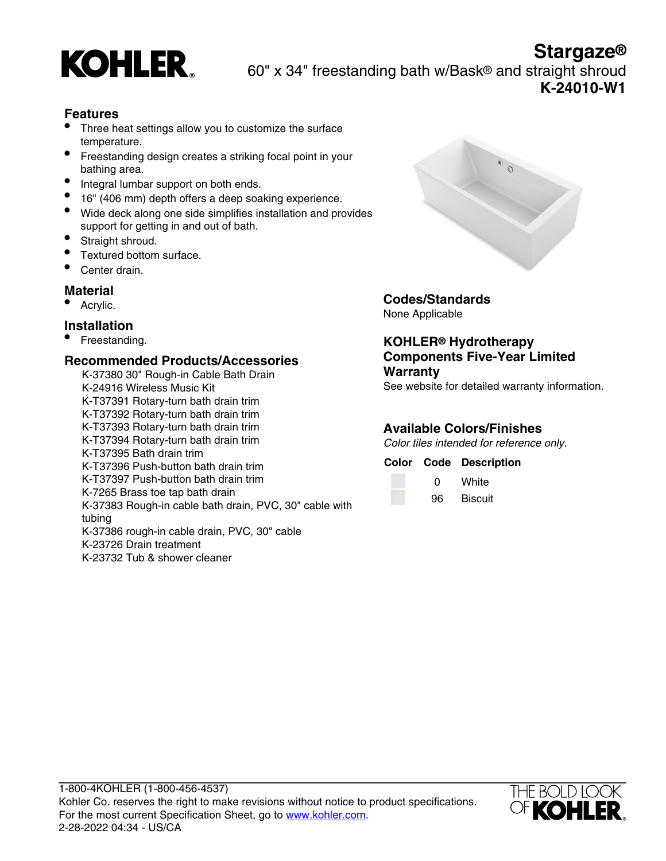

**Stargaze®** KOHLER 60" x 34" freestanding bath w/Bask® and straight shroud **K-24010-W1**

## **Features**

- Three heat settings allow you to customize the surface temperature.
- Freestanding design creates a striking focal point in your bathing area.
- Integral lumbar support on both ends.
- 16" (406 mm) depth offers a deep soaking experience.
- Wide deck along one side simplifies installation and provides support for getting in and out of bath.
- Straight shroud.
- Textured bottom surface.
- Center drain.

### **Material**

Acrylic.

### **Installation**

• Freestanding.

#### **Recommended Products/Accessories**

K-37380 30" Rough-in Cable Bath Drain K-24916 Wireless Music Kit K-T37391 Rotary-turn bath drain trim K-T37392 Rotary-turn bath drain trim K-T37393 Rotary-turn bath drain trim K-T37394 Rotary-turn bath drain trim K-T37395 Bath drain trim K-T37396 Push-button bath drain trim K-T37397 Push-button bath drain trim K-7265 Brass toe tap bath drain K-37383 Rough-in cable bath drain, PVC, 30" cable with tubing K-37386 rough-in cable drain, PVC, 30" cable K-23726 Drain treatment K-23732 Tub & shower cleaner



# **Codes/Standards**

None Applicable

### **KOHLER® Hydrotherapy Components Five-Year Limited Warranty**

See website for detailed warranty information.

# **Available Colors/Finishes**

Color tiles intended for reference only.

#### **Color Code Description**

| O  | White   |
|----|---------|
| 96 | Biscuit |